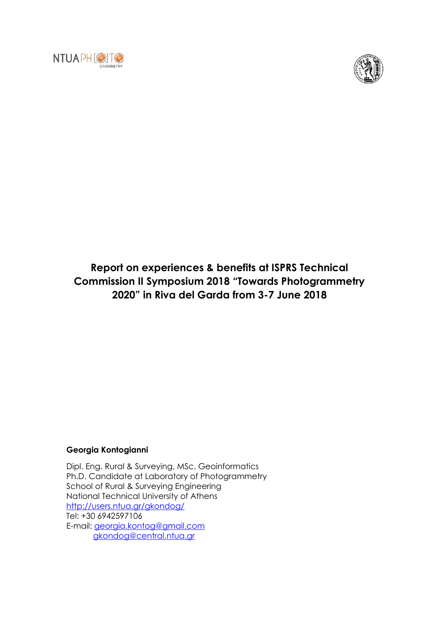



## **Report on experiences & benefits at ISPRS Technical Commission II Symposium 2018 "Towards Photogrammetry 2020" in Riva del Garda from 3-7 June 2018**

## **Georgia Kontogianni**

Dipl. Eng. Rural & Surveying, MSc. Geoinformatics Ph.D. Candidate at Laboratory of Photogrammetry School of Rural & Surveying Engineering National Technical University of Athens <http://users.ntua.gr/gkondog/> Tel: +30 6942597106 E-mail: [georgia.kontog@gmail.com](mailto:georgia.kontog@gmail.com) [gkondog@central.ntua.gr](mailto:gkondog@central.ntua.gr)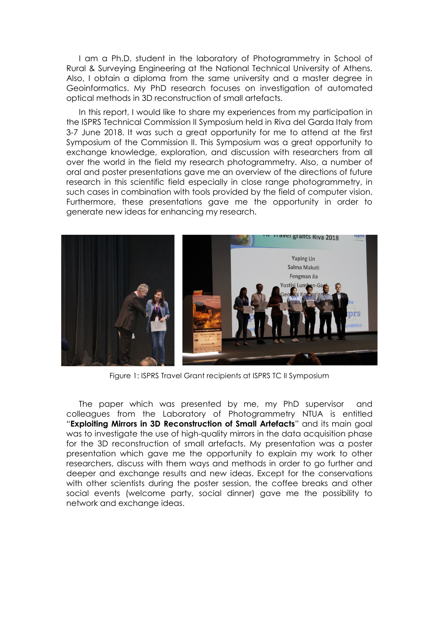I am a Ph.D. student in the laboratory of Photogrammetry in School of Rural & Surveying Engineering at the National Technical University of Athens. Also, I obtain a diploma from the same university and a master degree in Geoinformatics. My PhD research focuses on investigation of automated optical methods in 3D reconstruction of small artefacts.

In this report, I would like to share my experiences from my participation in the ISPRS Technical Commission II Symposium held in Riva del Garda Italy from 3-7 June 2018. It was such a great opportunity for me to attend at the first Symposium of the Commission II. This Symposium was a great opportunity to exchange knowledge, exploration, and discussion with researchers from all over the world in the field my research photogrammetry. Also, a number of oral and poster presentations gave me an overview of the directions of future research in this scientific field especially in close range photogrammetry, in such cases in combination with tools provided by the field of computer vision. Furthermore, these presentations gave me the opportunity in order to generate new ideas for enhancing my research.



Figure 1: ISPRS Travel Grant recipients at ISPRS TC II Symposium

The paper which was presented by me, my PhD supervisor and colleagues from the Laboratory of Photogrammetry NTUA is entitled "**Exploiting Mirrors in 3D Reconstruction of Small Artefacts**" and its main goal was to investigate the use of high-quality mirrors in the data acquisition phase for the 3D reconstruction of small artefacts. My presentation was a poster presentation which gave me the opportunity to explain my work to other researchers, discuss with them ways and methods in order to go further and deeper and exchange results and new ideas. Except for the conservations with other scientists during the poster session, the coffee breaks and other social events (welcome party, social dinner) gave me the possibility to network and exchange ideas.